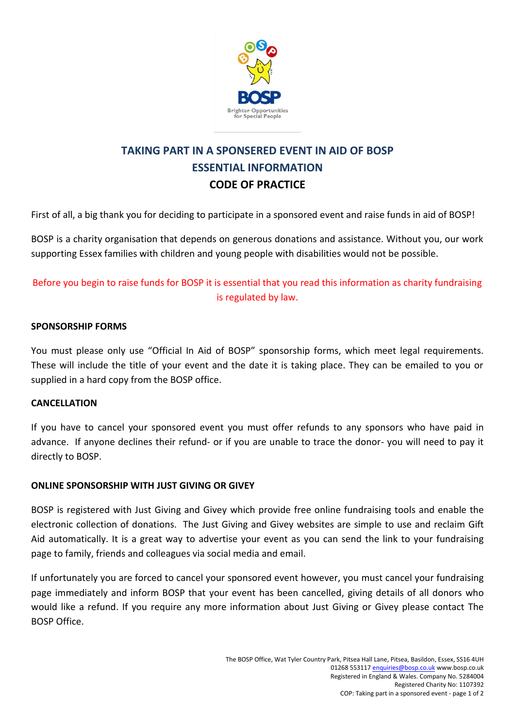

# **TAKING PART IN A SPONSERED EVENT IN AID OF BOSP ESSENTIAL INFORMATION CODE OF PRACTICE**

First of all, a big thank you for deciding to participate in a sponsored event and raise funds in aid of BOSP!

BOSP is a charity organisation that depends on generous donations and assistance. Without you, our work supporting Essex families with children and young people with disabilities would not be possible.

# Before you begin to raise funds for BOSP it is essential that you read this information as charity fundraising is regulated by law.

# **SPONSORSHIP FORMS**

You must please only use "Official In Aid of BOSP" sponsorship forms, which meet legal requirements. These will include the title of your event and the date it is taking place. They can be emailed to you or supplied in a hard copy from the BOSP office.

#### **CANCELLATION**

If you have to cancel your sponsored event you must offer refunds to any sponsors who have paid in advance. If anyone declines their refund- or if you are unable to trace the donor- you will need to pay it directly to BOSP.

#### **ONLINE SPONSORSHIP WITH JUST GIVING OR GIVEY**

BOSP is registered with Just Giving and Givey which provide free online fundraising tools and enable the electronic collection of donations. The Just Giving and Givey websites are simple to use and reclaim Gift Aid automatically. It is a great way to advertise your event as you can send the link to your fundraising page to family, friends and colleagues via social media and email.

If unfortunately you are forced to cancel your sponsored event however, you must cancel your fundraising page immediately and inform BOSP that your event has been cancelled, giving details of all donors who would like a refund. If you require any more information about Just Giving or Givey please contact The BOSP Office.